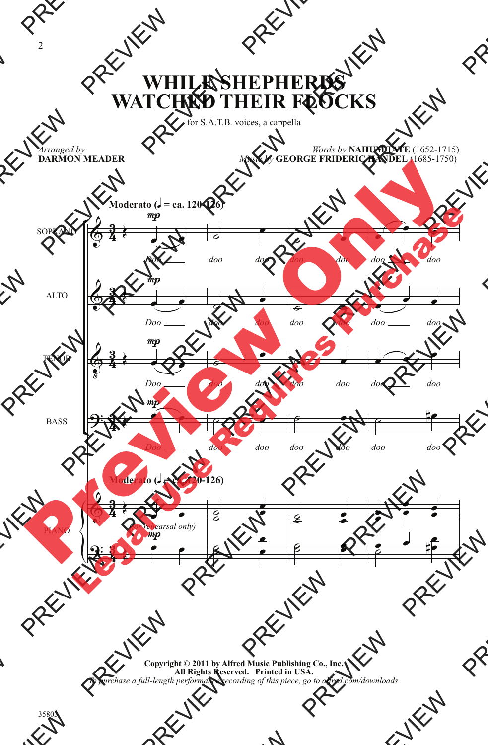## **WHILE SHEPHERDS WATCHED THEIR FLOCKS**

for S.A.T.B. voices, a cappella

*Arranged by* **DARMON MEADER**

*Words by* **NAHUM TATE** (1652-1715) *Music by* **GEORGE FRIDERIC HANDEL** (1685-1750)



**Copyright © 2011 by Alfred Music Publishing Co., Inc. All Rights Reserved. Printed in USA.** *To purchase a full-length performance recording of this piece, go to alfred.com/downloads*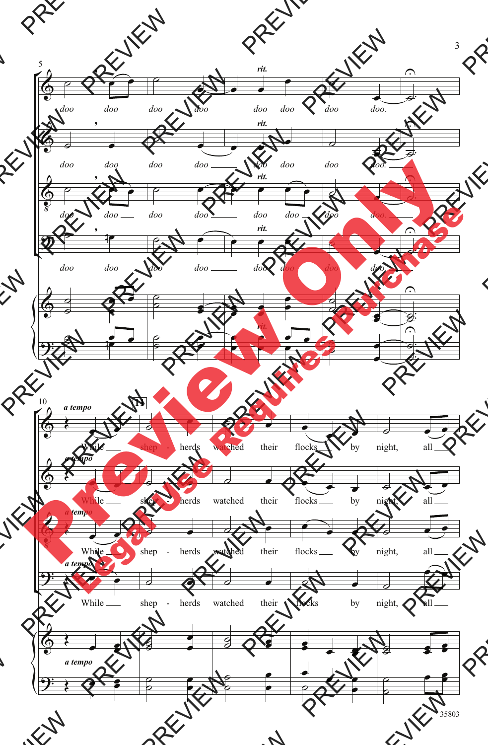![](_page_1_Figure_0.jpeg)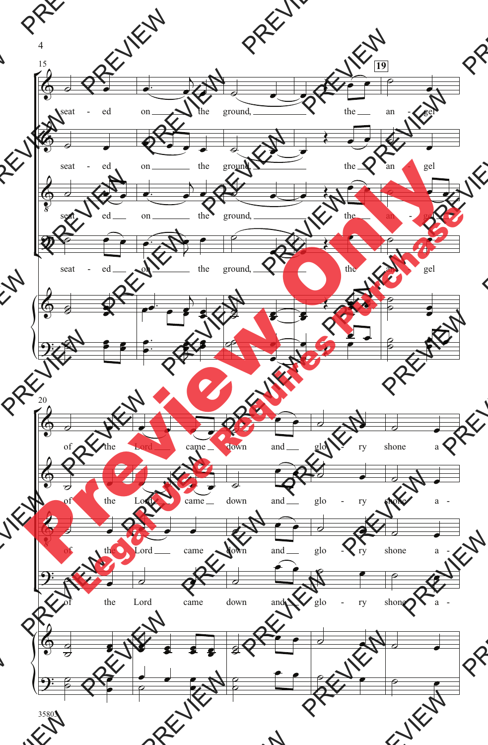![](_page_2_Figure_0.jpeg)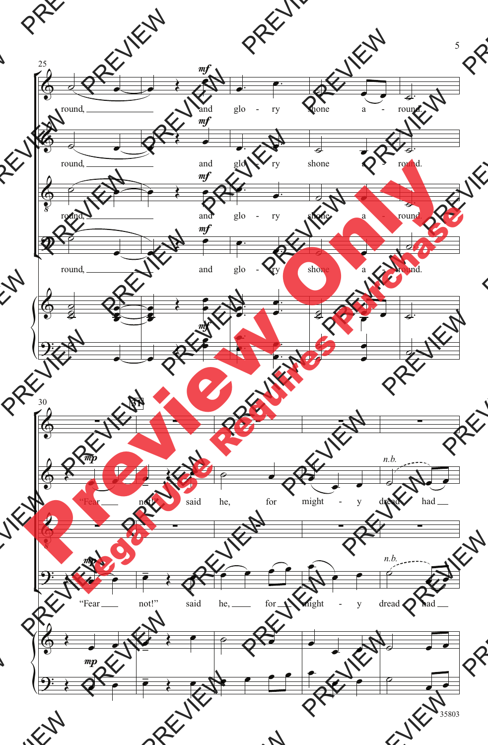![](_page_3_Figure_0.jpeg)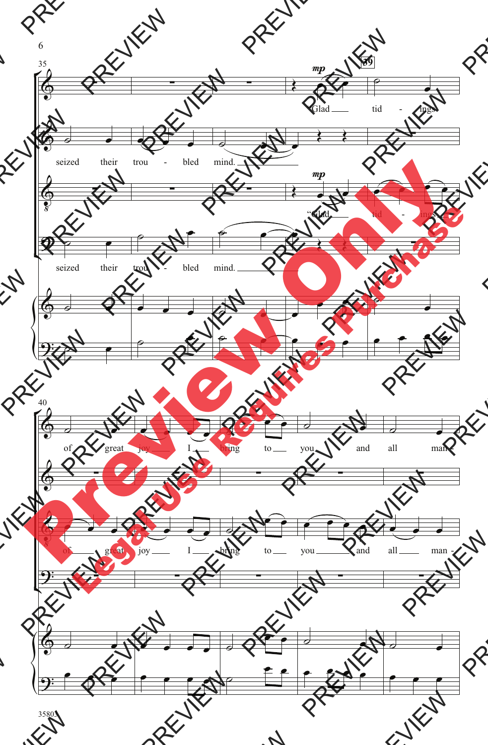![](_page_4_Figure_0.jpeg)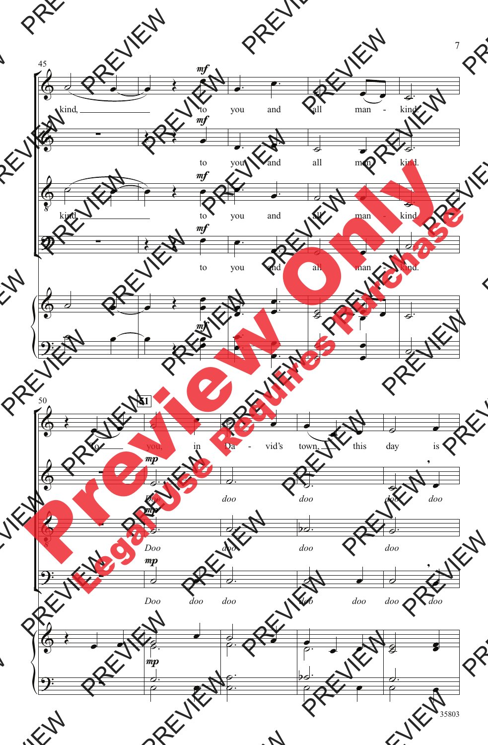![](_page_5_Figure_0.jpeg)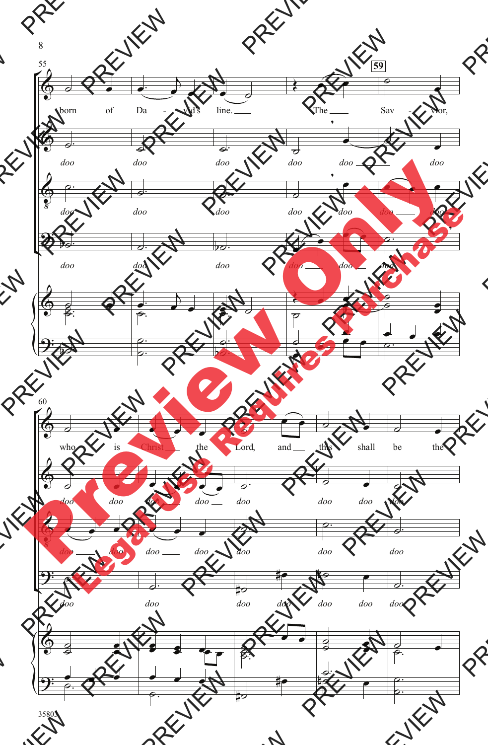![](_page_6_Figure_0.jpeg)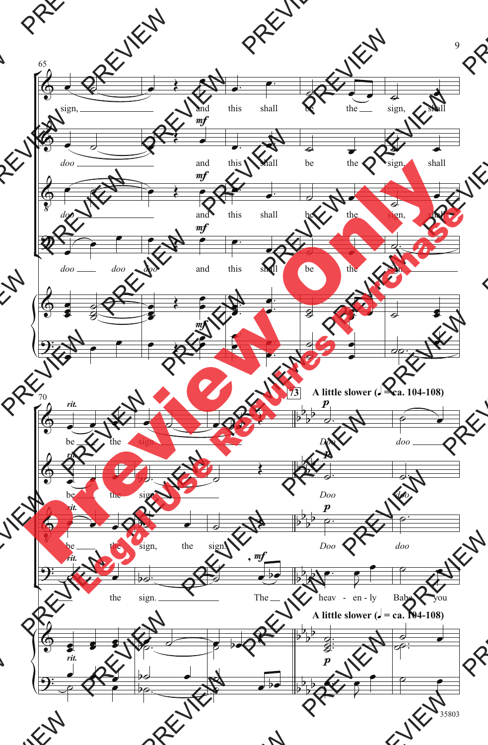![](_page_7_Figure_0.jpeg)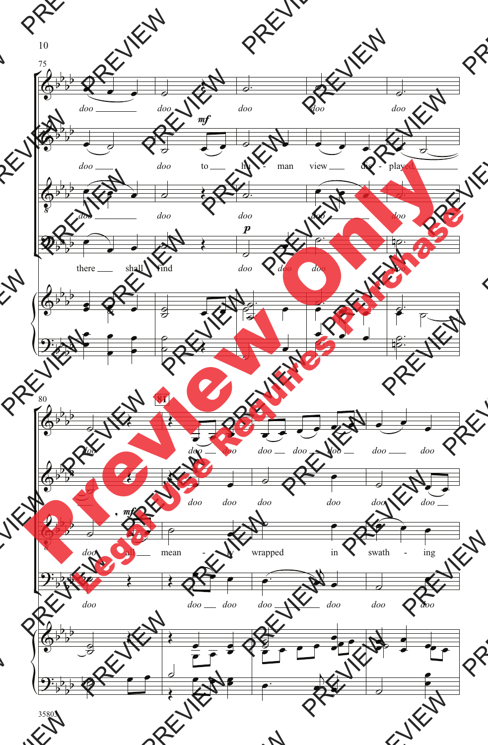![](_page_8_Figure_0.jpeg)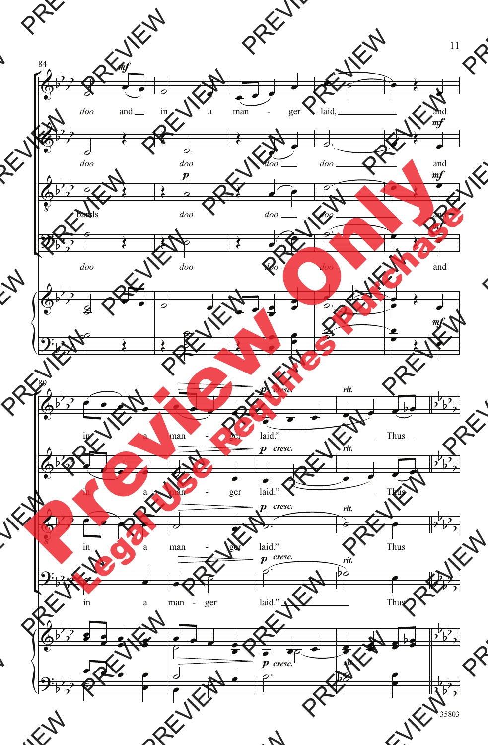![](_page_9_Figure_0.jpeg)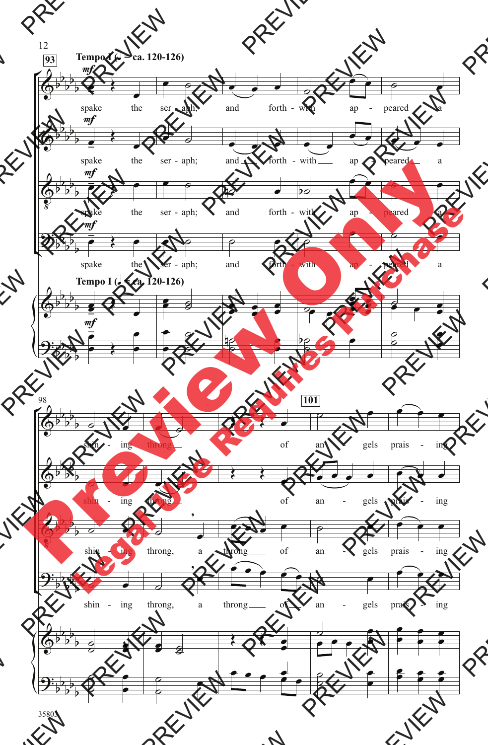![](_page_10_Figure_0.jpeg)

<sup>35803</sup>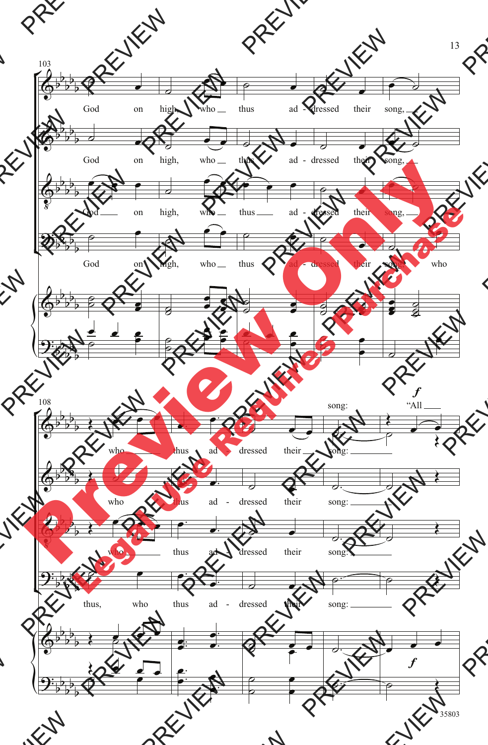![](_page_11_Figure_0.jpeg)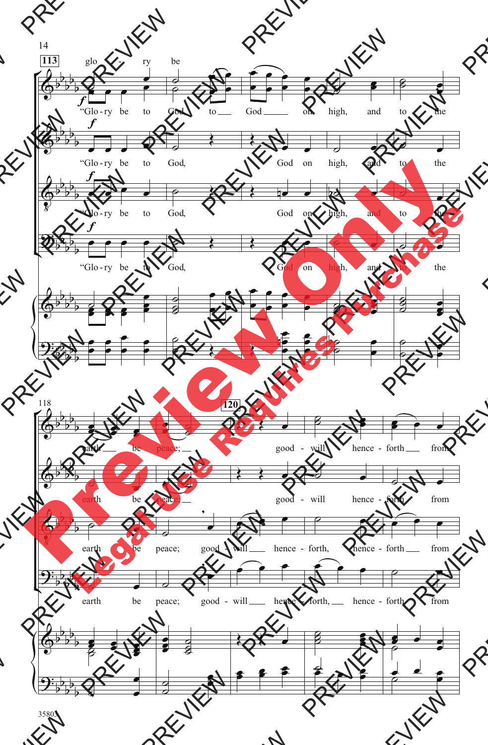![](_page_12_Figure_0.jpeg)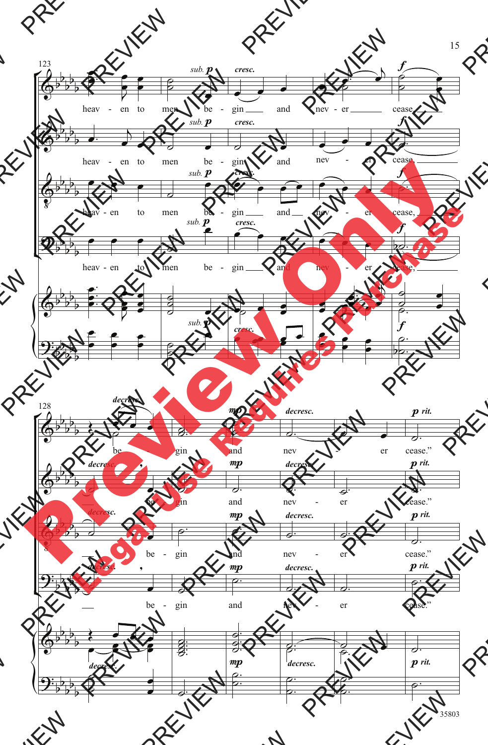![](_page_13_Figure_0.jpeg)